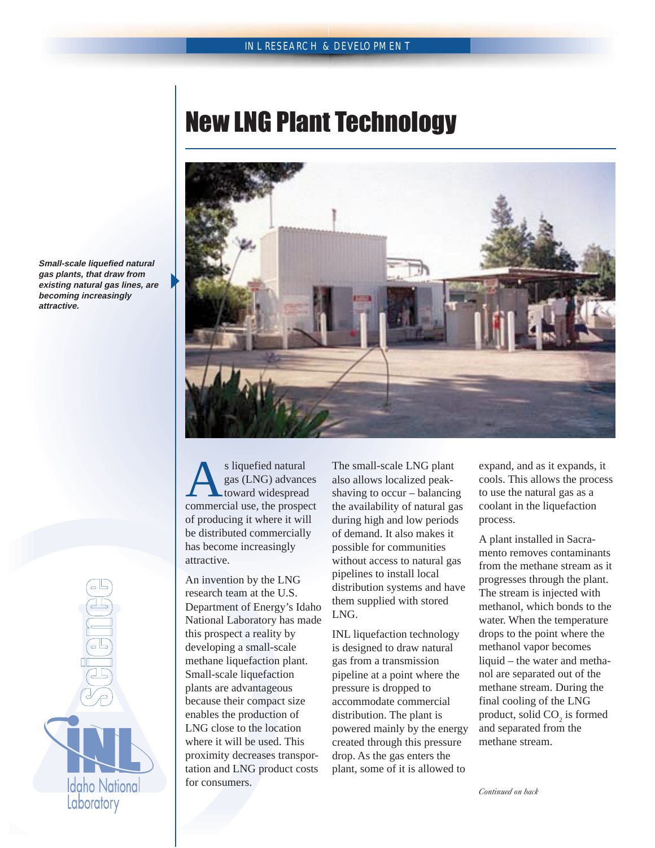## New LNG Plant Technology



s liquefied natural<br>gas (LNG) advances<br>commercial use, the prospect gas (LNG) advances toward widespread of producing it where it will be distributed commercially has become increasingly attractive.

An invention by the LNG research team at the U.S. Department of Energy's Idaho National Laboratory has made this prospect a reality by developing a small-scale methane liquefaction plant. Small-scale liquefaction plants are advantageous because their compact size enables the production of LNG close to the location where it will be used. This proximity decreases transportation and LNG product costs for consumers.

The small-scale LNG plant also allows localized peakshaving to occur – balancing the availability of natural gas during high and low periods of demand. It also makes it possible for communities without access to natural gas pipelines to install local distribution systems and have them supplied with stored LNG.

INL liquefaction technology is designed to draw natural gas from a transmission pipeline at a point where the pressure is dropped to accommodate commercial distribution. The plant is powered mainly by the energy created through this pressure drop. As the gas enters the plant, some of it is allowed to

expand, and as it expands, it cools. This allows the process to use the natural gas as a coolant in the liquefaction process.

A plant installed in Sacramento removes contaminants from the methane stream as it progresses through the plant. The stream is injected with methanol, which bonds to the water. When the temperature drops to the point where the methanol vapor becomes liquid – the water and methanol are separated out of the methane stream. During the final cooling of the LNG product, solid  $CO_2$  is formed and separated from the methane stream.

**Small-scale liquefied natural gas plants, that draw from existing natural gas lines, are becoming increasingly attractive.**